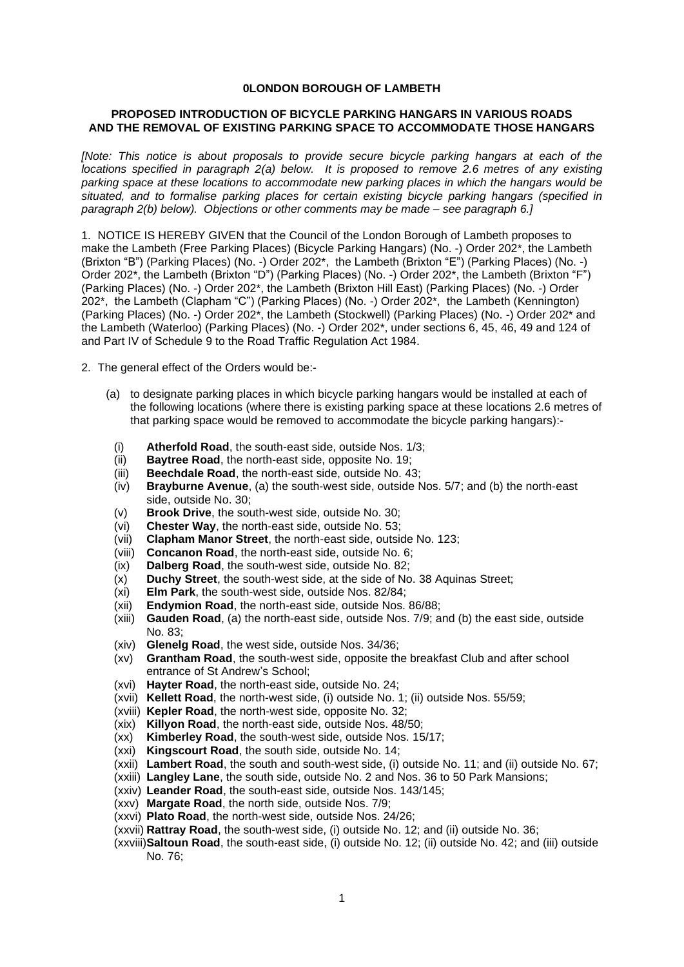## **0LONDON BOROUGH OF LAMBETH**

## **PROPOSED INTRODUCTION OF BICYCLE PARKING HANGARS IN VARIOUS ROADS AND THE REMOVAL OF EXISTING PARKING SPACE TO ACCOMMODATE THOSE HANGARS**

*[Note: This notice is about proposals to provide secure bicycle parking hangars at each of the locations specified in paragraph 2(a) below. It is proposed to remove 2.6 metres of any existing parking space at these locations to accommodate new parking places in which the hangars would be situated, and to formalise parking places for certain existing bicycle parking hangars (specified in paragraph 2(b) below). Objections or other comments may be made – see paragraph 6.]*

1. NOTICE IS HEREBY GIVEN that the Council of the London Borough of Lambeth proposes to make the Lambeth (Free Parking Places) (Bicycle Parking Hangars) (No. -) Order 202\*, the Lambeth (Brixton "B") (Parking Places) (No. -) Order 202\*, the Lambeth (Brixton "E") (Parking Places) (No. -) Order 202\*, the Lambeth (Brixton "D") (Parking Places) (No. -) Order 202\*, the Lambeth (Brixton "F") (Parking Places) (No. -) Order 202\*, the Lambeth (Brixton Hill East) (Parking Places) (No. -) Order 202\*, the Lambeth (Clapham "C") (Parking Places) (No. -) Order 202\*, the Lambeth (Kennington) (Parking Places) (No. -) Order 202\*, the Lambeth (Stockwell) (Parking Places) (No. -) Order 202\* and the Lambeth (Waterloo) (Parking Places) (No. -) Order 202\*, under sections 6, 45, 46, 49 and 124 of and Part IV of Schedule 9 to the Road Traffic Regulation Act 1984.

2. The general effect of the Orders would be:-

- (a) to designate parking places in which bicycle parking hangars would be installed at each of the following locations (where there is existing parking space at these locations 2.6 metres of that parking space would be removed to accommodate the bicycle parking hangars):-
	- (i) **Atherfold Road**, the south-east side, outside Nos. 1/3;
	- (ii) **Baytree Road**, the north-east side, opposite No. 19;
	- (iii) **Beechdale Road**, the north-east side, outside No. 43;
	- (iv) **Brayburne Avenue**, (a) the south-west side, outside Nos. 5/7; and (b) the north-east side, outside No. 30;
	- (v) **Brook Drive**, the south-west side, outside No. 30;
	- (vi) **Chester Way**, the north-east side, outside No. 53;
	- (vii) **Clapham Manor Street**, the north-east side, outside No. 123;
	- (viii) **Concanon Road**, the north-east side, outside No. 6;
	- (ix) **Dalberg Road**, the south-west side, outside No. 82;
	- (x) **Duchy Street**, the south-west side, at the side of No. 38 Aquinas Street;
	- (xi) **Elm Park**, the south-west side, outside Nos. 82/84;
	- (xii) **Endymion Road**, the north-east side, outside Nos. 86/88;
	- (xiii) **Gauden Road**, (a) the north-east side, outside Nos. 7/9; and (b) the east side, outside No. 83;
	- (xiv) **Glenelg Road**, the west side, outside Nos. 34/36;
	- (xv) **Grantham Road**, the south-west side, opposite the breakfast Club and after school entrance of St Andrew's School;
	- (xvi) **Hayter Road**, the north-east side, outside No. 24;
	- (xvii) **Kellett Road**, the north-west side, (i) outside No. 1; (ii) outside Nos. 55/59;
	- (xviii) **Kepler Road**, the north-west side, opposite No. 32;
	- (xix) **Killyon Road**, the north-east side, outside Nos. 48/50;
	- (xx) **Kimberley Road**, the south-west side, outside Nos. 15/17;
	- (xxi) **Kingscourt Road**, the south side, outside No. 14;
	- (xxii) **Lambert Road**, the south and south-west side, (i) outside No. 11; and (ii) outside No. 67;
	- (xxiii) **Langley Lane**, the south side, outside No. 2 and Nos. 36 to 50 Park Mansions;
	- (xxiv) **Leander Road**, the south-east side, outside Nos. 143/145;
	- (xxv) **Margate Road**, the north side, outside Nos. 7/9;
	- (xxvi) **Plato Road**, the north-west side, outside Nos. 24/26;
	- (xxvii) **Rattray Road**, the south-west side, (i) outside No. 12; and (ii) outside No. 36;
	- (xxviii)**Saltoun Road**, the south-east side, (i) outside No. 12; (ii) outside No. 42; and (iii) outside No. 76;